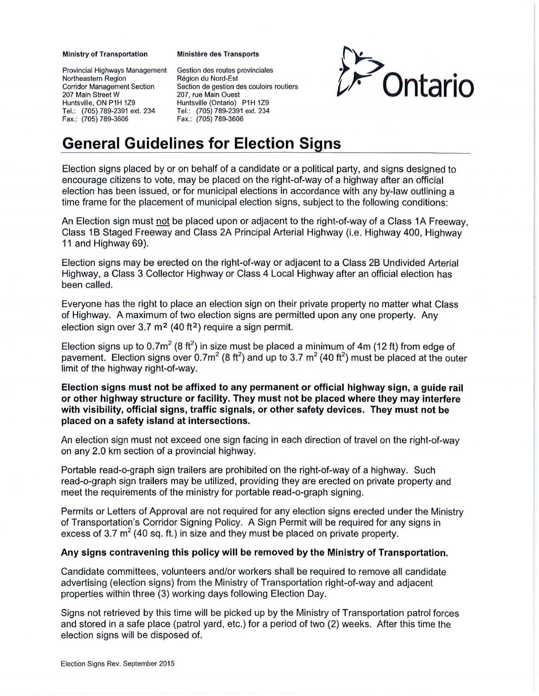## Ministry of Transportation

Provincial Highways Management Northeastern Region Corridor Management Section 207 Main Street W Huntsville, ON P1H 1Z9 Tel.: (705) 789-2391 ext. 234 Fax.: (705) 789-3606

## **Ministère des Transports**

Gestion des routes provinciales Region du Nord-Est Section de gestion des couloirs routiers 207, rue Main Quest Huntsville (Ontario) P1H 1Z9 Tel.: (705) 789-2391 ext. 234 Fax.: (705) 789-3606



## **General Guidelines for Election Signs**

Election signs placed by or on behalf of a candidate or a political party, and signs designed to encourage citizens to vote, may be placed on the right-of-way of a highway after an official election has been issued, or for municipal elections in accordance with any by-law outlining a time frame for the placement of municipal election signs, subject to the following conditions:

An Election sign must not be placed upon or adjacent to the right-of-way of a Class 1A Freeway, Class 1 B Staged Freeway and Class 2A Principal Arterial Highway (i.e. Highway 400, Highway 11 and Highway 69).

Election signs may be erected on the right-of-way or adjacent to a Class 28 Undivided Arterial Highway, a Class 3 Collector Highway or Class 4 Local Highway after an official election has been called.

Everyone has the right to place an election sign on their private property no matter what Class of Highway. A maximum of two election signs are permitted upon any one property. Any election sign over  $3.7 \text{ m}^2$  (40 ft<sup>2</sup>) require a sign permit.

Election signs up to 0.7m<sup>2</sup> (8 ft<sup>2</sup>) in size must be placed a minimum of 4m (12 ft) from edge of pavement. Election signs over 0.7m<sup>2</sup> (8 ft<sup>2</sup>) and up to 3.7 m<sup>2</sup> (40 ft<sup>2</sup>) must be placed at the outer limit of the highway right-of-way.

**Election signs must not be affixed to any permanent or official highway sign, a guide rail or other highway structure or facility. They must not be placed where they may interfere with visibility, official signs, traffic signals, or other safety devices. They must not be placed on a safety island at intersections.** 

An election sign must not exceed one sign facing in each direction of travel on the right-of-way on any 2.0 km section of a provincial highway.

Portable read-o-graph sign trailers are prohibited on the right-of-way of a highway. Such read-o-graph sign trailers may be utilized, providing they are erected on private property and meet the requirements of the ministry for portable read-o-graph signing.

Permits or Letters of Approval are not required for any election signs erected under the Ministry of Transportation's Corridor Signing Policy. A Sign Permit will be required for any signs in excess of 3.7  $m^2$  (40 sq. ft.) in size and they must be placed on private property.

## **Any signs contravening this policy will be removed by the Ministry of Transportation.**

Candidate committees, volunteers and/or workers shall be required to remove all candidate advertising (election signs) from the Ministry of Transportation right-of-way and adjacent properties within three (3) working days following Election Day.

Signs not retrieved by this time will be picked up by the Ministry of Transportation patrol forces and stored in a safe place (patrol yard, etc.) for a period of two (2) weeks. After this time the election signs will be disposed of.